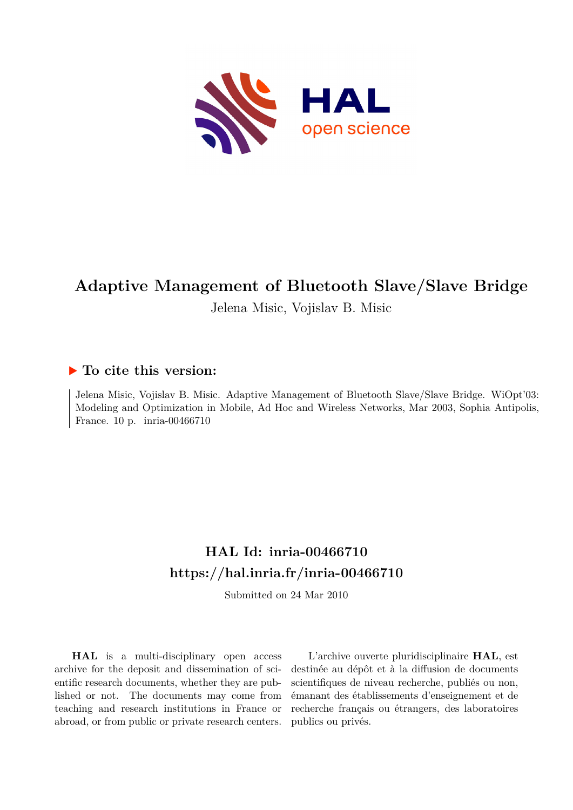

## **Adaptive Management of Bluetooth Slave/Slave Bridge**

Jelena Misic, Vojislav B. Misic

### **To cite this version:**

Jelena Misic, Vojislav B. Misic. Adaptive Management of Bluetooth Slave/Slave Bridge. WiOpt'03: Modeling and Optimization in Mobile, Ad Hoc and Wireless Networks, Mar 2003, Sophia Antipolis, France. 10 p. inria-00466710

## **HAL Id: inria-00466710 <https://hal.inria.fr/inria-00466710>**

Submitted on 24 Mar 2010

**HAL** is a multi-disciplinary open access archive for the deposit and dissemination of scientific research documents, whether they are published or not. The documents may come from teaching and research institutions in France or abroad, or from public or private research centers.

L'archive ouverte pluridisciplinaire **HAL**, est destinée au dépôt et à la diffusion de documents scientifiques de niveau recherche, publiés ou non, émanant des établissements d'enseignement et de recherche français ou étrangers, des laboratoires publics ou privés.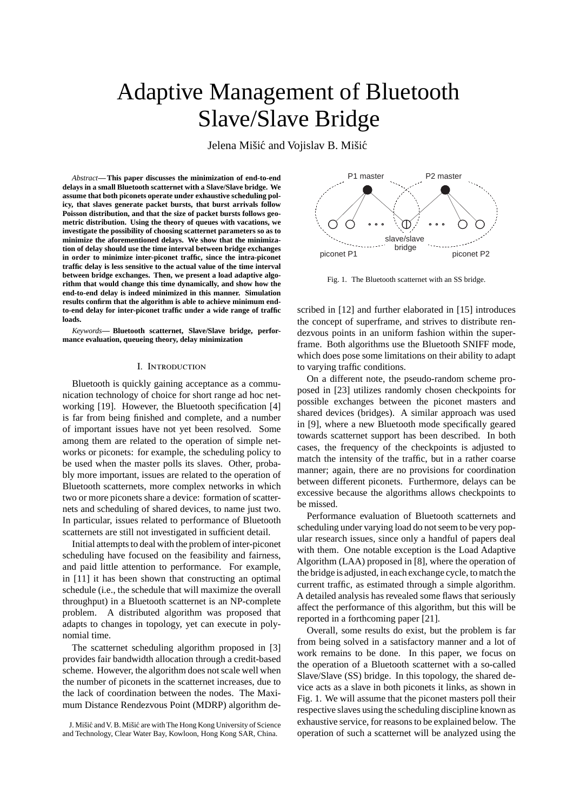# Adaptive Management of Bluetooth Slave/Slave Bridge

Jelena Mišić and Vojislav B. Mišić

*Abstract***— This paper discusses the minimization of end-to-end delays in a small Bluetooth scatternet with a Slave/Slave bridge. We assume that both piconets operate under exhaustive scheduling policy, that slaves generate packet bursts, that burst arrivals follow Poisson distribution, and that the size of packet bursts follows geometric distribution. Using the theory of queues with vacations, we investigate the possibility of choosing scatternet parameters so as to minimize the aforementioned delays. We show that the minimization of delay should use the time interval between bridge exchanges in order to minimize inter-piconet traffic, since the intra-piconet traffic delay is less sensitive to the actual value of the time interval between bridge exchanges. Then, we present a load adaptive algorithm that would change this time dynamically, and show how the end-to-end delay is indeed minimized in this manner. Simulation results confirm that the algorithm is able to achieve minimum endto-end delay for inter-piconet traffic under a wide range of traffic loads.**

*Keywords***— Bluetooth scatternet, Slave/Slave bridge, performance evaluation, queueing theory, delay minimization**

#### I. Introduction

Bluetooth is quickly gaining acceptance as a communication technology of choice for short range ad hoc networking [19]. However, the Bluetooth specification [4] is far from being finished and complete, and a number of important issues have not yet been resolved. Some among them are related to the operation of simple networks or piconets: for example, the scheduling policy to be used when the master polls its slaves. Other, probably more important, issues are related to the operation of Bluetooth scatternets, more complex networks in which two or more piconets share a device: formation of scatternets and scheduling of shared devices, to name just two. In particular, issues related to performance of Bluetooth scatternets are still not investigated in sufficient detail.

Initial attempts to deal with the problem of inter-piconet scheduling have focused on the feasibility and fairness, and paid little attention to performance. For example, in [11] it has been shown that constructing an optimal schedule (i.e., the schedule that will maximize the overall throughput) in a Bluetooth scatternet is an NP-complete problem. A distributed algorithm was proposed that adapts to changes in topology, yet can execute in polynomial time.

The scatternet scheduling algorithm proposed in [3] provides fair bandwidth allocation through a credit-based scheme. However, the algorithm does not scale well when the number of piconets in the scatternet increases, due to the lack of coordination between the nodes. The Maximum Distance Rendezvous Point (MDRP) algorithm de-



Fig. 1. The Bluetooth scatternet with an SS bridge.

scribed in [12] and further elaborated in [15] introduces the concept of superframe, and strives to distribute rendezvous points in an uniform fashion within the superframe. Both algorithms use the Bluetooth SNIFF mode, which does pose some limitations on their ability to adapt to varying traffic conditions.

On a different note, the pseudo-random scheme proposed in [23] utilizes randomly chosen checkpoints for possible exchanges between the piconet masters and shared devices (bridges). A similar approach was used in [9], where a new Bluetooth mode specifically geared towards scatternet support has been described. In both cases, the frequency of the checkpoints is adjusted to match the intensity of the traffic, but in a rather coarse manner; again, there are no provisions for coordination between different piconets. Furthermore, delays can be excessive because the algorithms allows checkpoints to be missed.

Performance evaluation of Bluetooth scatternets and scheduling under varying load do not seem to be very popular research issues, since only a handful of papers deal with them. One notable exception is the Load Adaptive Algorithm (LAA) proposed in [8], where the operation of the bridge is adjusted, in each exchange cycle, to match the current traffic, as estimated through a simple algorithm. A detailed analysis has revealed some flaws that seriously affect the performance of this algorithm, but this will be reported in a forthcoming paper [21].

Overall, some results do exist, but the problem is far from being solved in a satisfactory manner and a lot of work remains to be done. In this paper, we focus on the operation of a Bluetooth scatternet with a so-called Slave/Slave (SS) bridge. In this topology, the shared device acts as a slave in both piconets it links, as shown in Fig. 1. We will assume that the piconet masters poll their respective slaves using the scheduling discipline known as exhaustive service, for reasons to be explained below. The operation of such a scatternet will be analyzed using the

J. Mišić and V. B. Mišić are with The Hong Kong University of Science and Technology, Clear Water Bay, Kowloon, Hong Kong SAR, China.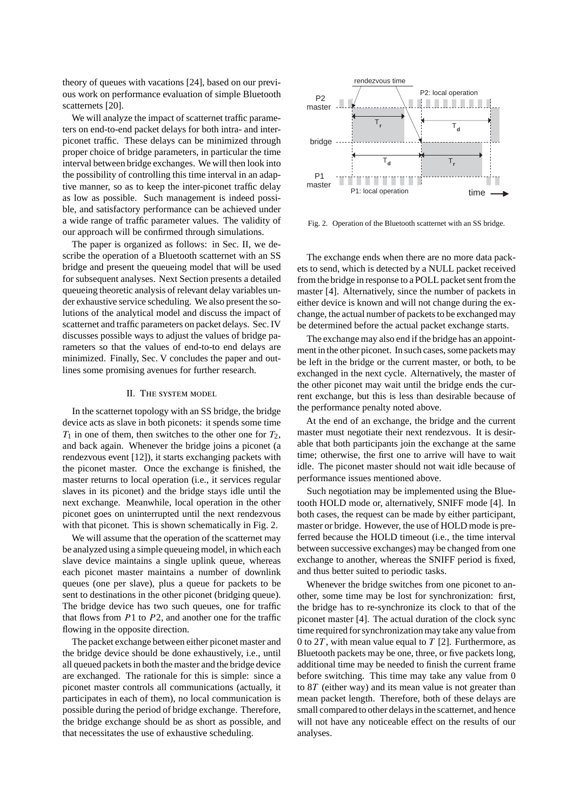theory of queues with vacations [24], based on our previous work on performance evaluation of simple Bluetooth scatternets [20].

We will analyze the impact of scatternet traffic parameters on end-to-end packet delays for both intra- and interpiconet traffic. These delays can be minimized through proper choice of bridge parameters, in particular the time interval between bridge exchanges. We will then look into the possibility of controlling this time interval in an adaptive manner, so as to keep the inter-piconet traffic delay as low as possible. Such management is indeed possible, and satisfactory performance can be achieved under a wide range of traffic parameter values. The validity of our approach will be confirmed through simulations.

The paper is organized as follows: in Sec. II, we describe the operation of a Bluetooth scatternet with an SS bridge and present the queueing model that will be used for subsequent analyses. Next Section presents a detailed queueing theoretic analysis of relevant delay variables under exhaustive service scheduling. We also present the solutions of the analytical model and discuss the impact of scatternet and traffic parameters on packet delays. Sec. IV discusses possible ways to adjust the values of bridge parameters so that the values of end-to-to end delays are minimized. Finally, Sec. V concludes the paper and outlines some promising avenues for further research.

#### II. The system model

In the scatternet topology with an SS bridge, the bridge device acts as slave in both piconets: it spends some time  $T_1$  in one of them, then switches to the other one for  $T_2$ , and back again. Whenever the bridge joins a piconet (a rendezvous event [12]), it starts exchanging packets with the piconet master. Once the exchange is finished, the master returns to local operation (i.e., it services regular slaves in its piconet) and the bridge stays idle until the next exchange. Meanwhile, local operation in the other piconet goes on uninterrupted until the next rendezvous with that piconet. This is shown schematically in Fig. 2.

We will assume that the operation of the scatternet may be analyzed using a simple queueing model, in which each slave device maintains a single uplink queue, whereas each piconet master maintains a number of downlink queues (one per slave), plus a queue for packets to be sent to destinations in the other piconet (bridging queue). The bridge device has two such queues, one for traffic that flows from *P*1 to *P*2, and another one for the traffic flowing in the opposite direction.

The packet exchange between either piconet master and the bridge device should be done exhaustively, i.e., until all queued packets in both the master and the bridge device are exchanged. The rationale for this is simple: since a piconet master controls all communications (actually, it participates in each of them), no local communication is possible during the period of bridge exchange. Therefore, the bridge exchange should be as short as possible, and that necessitates the use of exhaustive scheduling.



Fig. 2. Operation of the Bluetooth scatternet with an SS bridge.

The exchange ends when there are no more data packets to send, which is detected by a NULL packet received from the bridge in response to a POLL packet sent from the master [4]. Alternatively, since the number of packets in either device is known and will not change during the exchange, the actual number of packets to be exchanged may be determined before the actual packet exchange starts.

The exchange may also end if the bridge has an appointment in the other piconet. In such cases, some packets may be left in the bridge or the current master, or both, to be exchanged in the next cycle. Alternatively, the master of the other piconet may wait until the bridge ends the current exchange, but this is less than desirable because of the performance penalty noted above.

At the end of an exchange, the bridge and the current master must negotiate their next rendezvous. It is desirable that both participants join the exchange at the same time; otherwise, the first one to arrive will have to wait idle. The piconet master should not wait idle because of performance issues mentioned above.

Such negotiation may be implemented using the Bluetooth HOLD mode or, alternatively, SNIFF mode [4]. In both cases, the request can be made by either participant, master or bridge. However, the use of HOLD mode is preferred because the HOLD timeout (i.e., the time interval between successive exchanges) may be changed from one exchange to another, whereas the SNIFF period is fixed, and thus better suited to periodic tasks.

Whenever the bridge switches from one piconet to another, some time may be lost for synchronization: first, the bridge has to re-synchronize its clock to that of the piconet master [4]. The actual duration of the clock sync time required for synchronization may take any value from 0 to 2*T* , with mean value equal to *T* [2]. Furthermore, as Bluetooth packets may be one, three, or five packets long, additional time may be needed to finish the current frame before switching. This time may take any value from 0 to 8*T* (either way) and its mean value is not greater than mean packet length. Therefore, both of these delays are small compared to other delays in the scatternet, and hence will not have any noticeable effect on the results of our analyses.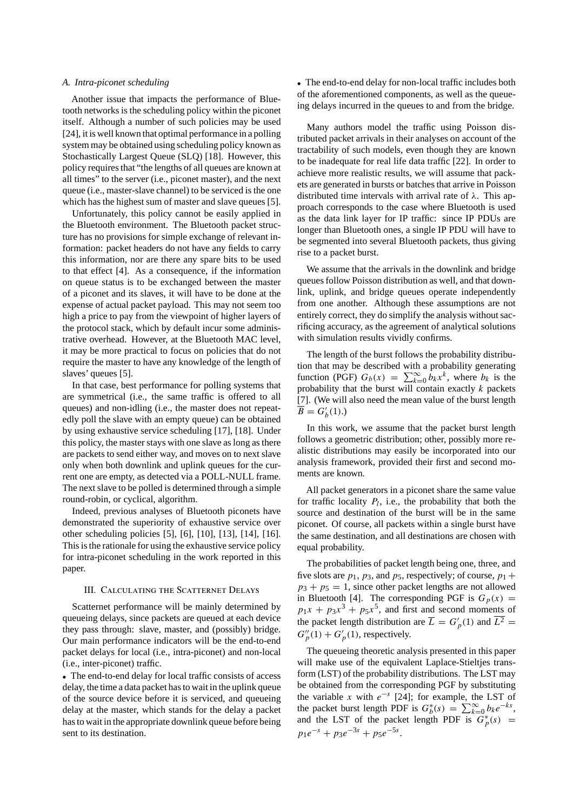#### *A. Intra-piconet scheduling*

Another issue that impacts the performance of Bluetooth networks is the scheduling policy within the piconet itself. Although a number of such policies may be used [24], it is well known that optimal performance in a polling system may be obtained using scheduling policy known as Stochastically Largest Queue (SLQ) [18]. However, this policy requires that "the lengths of all queues are known at all times" to the server (i.e., piconet master), and the next queue (i.e., master-slave channel) to be serviced is the one which has the highest sum of master and slave queues [5].

Unfortunately, this policy cannot be easily applied in the Bluetooth environment. The Bluetooth packet structure has no provisions for simple exchange of relevant information: packet headers do not have any fields to carry this information, nor are there any spare bits to be used to that effect [4]. As a consequence, if the information on queue status is to be exchanged between the master of a piconet and its slaves, it will have to be done at the expense of actual packet payload. This may not seem too high a price to pay from the viewpoint of higher layers of the protocol stack, which by default incur some administrative overhead. However, at the Bluetooth MAC level, it may be more practical to focus on policies that do not require the master to have any knowledge of the length of slaves' queues [5].

In that case, best performance for polling systems that are symmetrical (i.e., the same traffic is offered to all queues) and non-idling (i.e., the master does not repeatedly poll the slave with an empty queue) can be obtained by using exhaustive service scheduling [17], [18]. Under this policy, the master stays with one slave as long as there are packets to send either way, and moves on to next slave only when both downlink and uplink queues for the current one are empty, as detected via a POLL-NULL frame. The next slave to be polled is determined through a simple round-robin, or cyclical, algorithm.

Indeed, previous analyses of Bluetooth piconets have demonstrated the superiority of exhaustive service over other scheduling policies [5], [6], [10], [13], [14], [16]. This is the rationale for using the exhaustive service policy for intra-piconet scheduling in the work reported in this paper.

#### III. Calculating the Scatternet Delays

Scatternet performance will be mainly determined by queueing delays, since packets are queued at each device they pass through: slave, master, and (possibly) bridge. Our main performance indicators will be the end-to-end packet delays for local (i.e., intra-piconet) and non-local (i.e., inter-piconet) traffic.

• The end-to-end delay for local traffic consists of access delay, the time a data packet has to wait in the uplink queue of the source device before it is serviced, and queueing delay at the master, which stands for the delay a packet has to wait in the appropriate downlink queue before being sent to its destination.

• The end-to-end delay for non-local traffic includes both of the aforementioned components, as well as the queueing delays incurred in the queues to and from the bridge.

Many authors model the traffic using Poisson distributed packet arrivals in their analyses on account of the tractability of such models, even though they are known to be inadequate for real life data traffic [22]. In order to achieve more realistic results, we will assume that packets are generated in bursts or batches that arrive in Poisson distributed time intervals with arrival rate of *λ*. This approach corresponds to the case where Bluetooth is used as the data link layer for IP traffic: since IP PDUs are longer than Bluetooth ones, a single IP PDU will have to be segmented into several Bluetooth packets, thus giving rise to a packet burst.

We assume that the arrivals in the downlink and bridge queues follow Poisson distribution as well, and that downlink, uplink, and bridge queues operate independently from one another. Although these assumptions are not entirely correct, they do simplify the analysis without sacrificing accuracy, as the agreement of analytical solutions with simulation results vividly confirms.

The length of the burst follows the probability distribution that may be described with a probability generating function (PGF)  $G_b(x) = \sum_{k=0}^{\infty} b_k x^k$ , where  $b_k$  is the probability that the burst will contain exactly *k* packets [7]. (We will also need the mean value of the burst length  $\overline{B} = G'_{b}(1).$ 

In this work, we assume that the packet burst length follows a geometric distribution; other, possibly more realistic distributions may easily be incorporated into our analysis framework, provided their first and second moments are known.

All packet generators in a piconet share the same value for traffic locality  $P_l$ , i.e., the probability that both the source and destination of the burst will be in the same piconet. Of course, all packets within a single burst have the same destination, and all destinations are chosen with equal probability.

The probabilities of packet length being one, three, and five slots are  $p_1$ ,  $p_3$ , and  $p_5$ , respectively; of course,  $p_1 +$  $p_3 + p_5 = 1$ , since other packet lengths are not allowed in Bluetooth [4]. The corresponding PGF is  $G_p(x)$  =  $p_1x + p_3x^3 + p_5x^5$ , and first and second moments of the packet length distribution are  $\overline{L} = G_p'(1)$  and  $\overline{L^2} =$  $G_p''(1) + G_p'(1)$ , respectively.

The queueing theoretic analysis presented in this paper will make use of the equivalent Laplace-Stieltjes transform (LST) of the probability distributions. The LST may be obtained from the corresponding PGF by substituting the variable *x* with *e*−*<sup>s</sup>* [24]; for example, the LST of the packet burst length PDF is  $G_b^*(s) = \sum_{k=0}^{\infty} b_k e^{-ks}$ , and the LST of the packet length PDF is  $G_p^*(s)$  =  $p_1e^{-s} + p_3e^{-3s} + p_5e^{-5s}$ .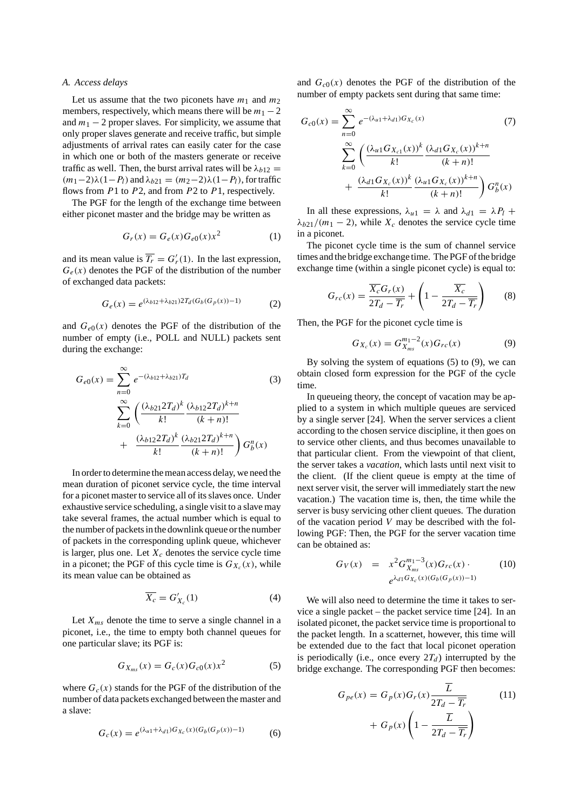#### *A. Access delays*

Let us assume that the two piconets have  $m_1$  and  $m_2$ members, respectively, which means there will be  $m_1 - 2$ and  $m_1 - 2$  proper slaves. For simplicity, we assume that only proper slaves generate and receive traffic, but simple adjustments of arrival rates can easily cater for the case in which one or both of the masters generate or receive traffic as well. Then, the burst arrival rates will be  $\lambda_{b12} =$  $(m_1-2)\lambda(1-P_l)$  and  $\lambda_{b21} = (m_2-2)\lambda(1-P_l)$ , for traffic flows from *P*1 to *P*2, and from *P*2 to *P*1, respectively.

The PGF for the length of the exchange time between either piconet master and the bridge may be written as

$$
G_r(x) = G_e(x)G_{e0}(x)x^2 \tag{1}
$$

and its mean value is  $\overline{T_r} = G'_r(1)$ . In the last expression,  $G_e(x)$  denotes the PGF of the distribution of the number of exchanged data packets:

$$
G_e(x) = e^{(\lambda_{b12} + \lambda_{b21})2T_d(G_b(G_p(x)) - 1)}
$$
 (2)

and  $G_{e0}(x)$  denotes the PGF of the distribution of the number of empty (i.e., POLL and NULL) packets sent during the exchange:

$$
G_{e0}(x) = \sum_{n=0}^{\infty} e^{-(\lambda_{b12} + \lambda_{b21})T_d}
$$
(3)  

$$
\sum_{k=0}^{\infty} \left( \frac{(\lambda_{b21} 2T_d)^k}{k!} \frac{(\lambda_{b12} 2T_d)^{k+n}}{(k+n)!} + \frac{(\lambda_{b12} 2T_d)^k}{k!} \frac{(\lambda_{b21} 2T_d)^{k+n}}{(k+n)!} \right) G_b^n(x)
$$

In order to determine the mean access delay, we need the mean duration of piconet service cycle, the time interval for a piconet master to service all of its slaves once. Under exhaustive service scheduling, a single visit to a slave may take several frames, the actual number which is equal to the number of packets in the downlink queue or the number of packets in the corresponding uplink queue, whichever is larger, plus one. Let  $X_c$  denotes the service cycle time in a piconet; the PGF of this cycle time is  $G_{X_c}(x)$ , while its mean value can be obtained as

$$
\overline{X_c} = G'_{X_c}(1) \tag{4}
$$

Let  $X_{ms}$  denote the time to serve a single channel in a piconet, i.e., the time to empty both channel queues for one particular slave; its PGF is:

$$
G_{X_{ms}}(x) = G_c(x)G_{c0}(x)x^2
$$
 (5)

where  $G_c(x)$  stands for the PGF of the distribution of the number of data packets exchanged between the master and a slave:

$$
G_c(x) = e^{(\lambda_{u1} + \lambda_{d1})G_{X_c}(x)(G_b(G_p(x))-1)}
$$
(6)

and  $G<sub>c0</sub>(x)$  denotes the PGF of the distribution of the number of empty packets sent during that same time:

$$
G_{c0}(x) = \sum_{n=0}^{\infty} e^{-(\lambda_{u1} + \lambda_{d1})G_{X_c}(x)}
$$
(7)  

$$
\sum_{k=0}^{\infty} \left( \frac{(\lambda_{u1} G_{X_{c1}}(x))^k}{k!} \frac{(\lambda_{d1} G_{X_c}(x))^{k+n}}{(k+n)!} + \frac{(\lambda_{d1} G_{X_c}(x))^k}{k!} \frac{(\lambda_{u1} G_{X_c}(x))^{k+n}}{(k+n)!} \right) G_b^n(x)
$$

In all these expressions,  $\lambda_{u1} = \lambda$  and  $\lambda_{d1} = \lambda P_l +$  $\lambda_{b21}/(m_1 - 2)$ , while  $X_c$  denotes the service cycle time in a piconet.

The piconet cycle time is the sum of channel service times and the bridge exchange time. The PGF of the bridge exchange time (within a single piconet cycle) is equal to:

$$
G_{rc}(x) = \frac{\overline{X_c} G_r(x)}{2T_d - \overline{T_r}} + \left(1 - \frac{\overline{X_c}}{2T_d - \overline{T_r}}\right)
$$
(8)

Then, the PGF for the piconet cycle time is

$$
G_{X_c}(x) = G_{X_{ms}}^{m_1 - 2}(x) G_{rc}(x)
$$
 (9)

By solving the system of equations (5) to (9), we can obtain closed form expression for the PGF of the cycle time.

In queueing theory, the concept of vacation may be applied to a system in which multiple queues are serviced by a single server [24]. When the server services a client according to the chosen service discipline, it then goes on to service other clients, and thus becomes unavailable to that particular client. From the viewpoint of that client, the server takes a *vacation*, which lasts until next visit to the client. (If the client queue is empty at the time of next server visit, the server will immediately start the new vacation.) The vacation time is, then, the time while the server is busy servicing other client queues. The duration of the vacation period *V* may be described with the following PGF: Then, the PGF for the server vacation time can be obtained as:

$$
G_V(x) = x^2 G_{X_{ms}}^{m_1 - 3}(x) G_{rc}(x) \cdot (10)
$$
  

$$
e^{\lambda_{d1} G_{X_c}(x) (G_b(G_p(x)) - 1)}
$$

We will also need to determine the time it takes to service a single packet – the packet service time [24]. In an isolated piconet, the packet service time is proportional to the packet length. In a scatternet, however, this time will be extended due to the fact that local piconet operation is periodically (i.e., once every  $2T_d$ ) interrupted by the bridge exchange. The corresponding PGF then becomes:

$$
G_{pe}(x) = G_p(x)G_r(x)\frac{\overline{L}}{2T_d - \overline{T_r}}
$$
(11)  
+  $G_p(x)\left(1 - \frac{\overline{L}}{2T_d - \overline{T_r}}\right)$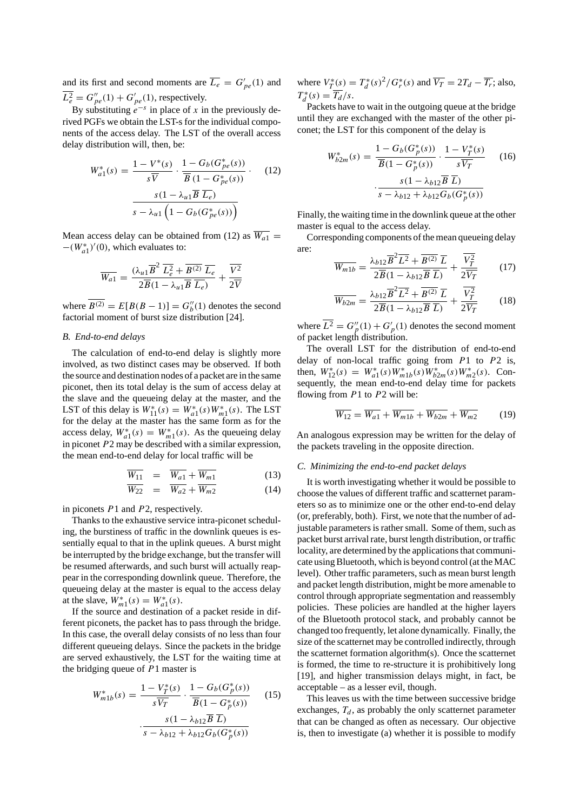and its first and second moments are  $\overline{L_e} = G'_{pe}(1)$  and  $\overline{L_e^2} = G_{pe}''(1) + G_{pe}'(1)$ , respectively.

By substituting  $e^{-s}$  in place of *x* in the previously derived PGFs we obtain the LST-s for the individual components of the access delay. The LST of the overall access delay distribution will, then, be:

$$
W_{a1}^*(s) = \frac{1 - V^*(s)}{s\overline{V}} \cdot \frac{1 - G_b(G_{pe}^*(s))}{\overline{B}(1 - G_{pe}^*(s))} \cdot (12)
$$

$$
\frac{s(1 - \lambda_{u1}\overline{B}\,\overline{L_e})}{s - \lambda_{u1}\left(1 - G_b(G_{pe}^*(s))\right)}
$$

Mean access delay can be obtained from (12) as  $\overline{W_{a1}}$  = <sup>−</sup>*(W*<sup>∗</sup> *a*1*)*- *(*0*)*, which evaluates to:

$$
\overline{W_{a1}} = \frac{(\lambda_{u1}\overline{B}^2 \ \overline{L_e^2} + \overline{B^{(2)}} \ \overline{L_e}}{2\overline{B}(1 - \lambda_{u1}\overline{B} \ \overline{L_e})} + \frac{\overline{V^2}}{2\overline{V}}
$$

where  $\overline{B^{(2)}} = E[B(B-1)] = G''_b(1)$  denotes the second factorial moment of burst size distribution [24].

#### *B. End-to-end delays*

The calculation of end-to-end delay is slightly more involved, as two distinct cases may be observed. If both the source and destination nodes of a packet are in the same piconet, then its total delay is the sum of access delay at the slave and the queueing delay at the master, and the LST of this delay is  $W_{11}^*(s) = W_{a1}^*(s)W_{m1}^*(s)$ . The LST for the delay at the master has the same form as for the access delay,  $W_{a1}^*(s) = W_{m1}^*(s)$ . As the queueing delay in piconet *P*2 may be described with a similar expression, the mean end-to-end delay for local traffic will be

$$
\overline{W_{11}} = \overline{W_{a1}} + \overline{W_{m1}}
$$
 (13)

$$
\overline{W_{22}} = \overline{W_{a2}} + \overline{W_{m2}}
$$
 (14)

in piconets *P*1 and *P*2, respectively.

Thanks to the exhaustive service intra-piconet scheduling, the burstiness of traffic in the downlink queues is essentially equal to that in the uplink queues. A burst might be interrupted by the bridge exchange, but the transfer will be resumed afterwards, and such burst will actually reappear in the corresponding downlink queue. Therefore, the queueing delay at the master is equal to the access delay at the slave,  $W_{m1}^*(s) = W_{a1}^*(s)$ .

If the source and destination of a packet reside in different piconets, the packet has to pass through the bridge. In this case, the overall delay consists of no less than four different queueing delays. Since the packets in the bridge are served exhaustively, the LST for the waiting time at the bridging queue of *P*1 master is

$$
W_{m1b}^*(s) = \frac{1 - V_T^*(s)}{s\overline{V_T}} \cdot \frac{1 - G_b(G_p^*(s))}{\overline{B}(1 - G_p^*(s))}
$$
(15)  

$$
\cdot \frac{s(1 - \lambda_{b12}\overline{B}\ \overline{L})}{s - \lambda_{b12} + \lambda_{b12}G_b(G_p^*(s))}
$$

where  $V_T^*(s) = T_d^*(s)^2 / G_r^*(s)$  and  $\overline{V_T} = 2T_d - \overline{T_r}$ ; also,  $T_d^*(s) = \overline{T_d}/s.$ 

Packets have to wait in the outgoing queue at the bridge until they are exchanged with the master of the other piconet; the LST for this component of the delay is

$$
W_{b2m}^*(s) = \frac{1 - G_b(G_p^*(s))}{\overline{B}(1 - G_p^*(s))} \cdot \frac{1 - V_T^*(s)}{s\overline{V_T}}
$$
(16)  

$$
\cdot \frac{s(1 - \lambda_{b12}\overline{B} \ \overline{L})}{s - \lambda_{b12} + \lambda_{b12}G_b(G_p^*(s))}
$$

Finally, the waiting time in the downlink queue at the other master is equal to the access delay.

Corresponding components of the mean queueing delay are:

$$
\overline{W_{m1b}} = \frac{\lambda_{b12}\overline{B}^2\overline{L^2} + \overline{B^{(2)}}\,\overline{L}}{2\overline{B}(1 - \lambda_{b12}\overline{B}\,\overline{L})} + \frac{\overline{V_T^2}}{2\overline{V_T}} \tag{17}
$$

$$
\overline{W_{b2m}} = \frac{\lambda_{b12} \overline{B}^2 \overline{L^2} + \overline{B^{(2)}} \,\overline{L}}{2\overline{B}(1 - \lambda_{b12} \overline{B} \,\overline{L})} + \frac{\overline{V_T^2}}{2\overline{V_T}}
$$
(18)

where  $\overline{L^2} = G_p''(1) + G_p'(1)$  denotes the second moment of packet length distribution.

The overall LST for the distribution of end-to-end delay of non-local traffic going from *P*1 to *P*2 is, then,  $W_{12}^*(s) = W_{a1}^*(s)W_{m1b}^*(s)W_{b2m}^*(s)W_{m2}^*(s)$ . Consequently, the mean end-to-end delay time for packets flowing from *P*1 to *P*2 will be:

$$
\overline{W_{12}} = \overline{W_{a1}} + \overline{W_{m1b}} + \overline{W_{b2m}} + \overline{W_{m2}}
$$
 (19)

An analogous expression may be written for the delay of the packets traveling in the opposite direction.

#### *C. Minimizing the end-to-end packet delays*

It is worth investigating whether it would be possible to choose the values of different traffic and scatternet parameters so as to minimize one or the other end-to-end delay (or, preferably, both). First, we note that the number of adjustable parameters is rather small. Some of them, such as packet burst arrival rate, burst length distribution, or traffic locality, are determined by the applications that communicate using Bluetooth, which is beyond control (at the MAC level). Other traffic parameters, such as mean burst length and packet length distribution, might be more amenable to control through appropriate segmentation and reassembly policies. These policies are handled at the higher layers of the Bluetooth protocol stack, and probably cannot be changed too frequently, let alone dynamically. Finally, the size of the scatternet may be controlled indirectly, through the scatternet formation algorithm(s). Once the scatternet is formed, the time to re-structure it is prohibitively long [19], and higher transmission delays might, in fact, be acceptable – as a lesser evil, though.

This leaves us with the time between successive bridge exchanges,  $T_d$ , as probably the only scatternet parameter that can be changed as often as necessary. Our objective is, then to investigate (a) whether it is possible to modify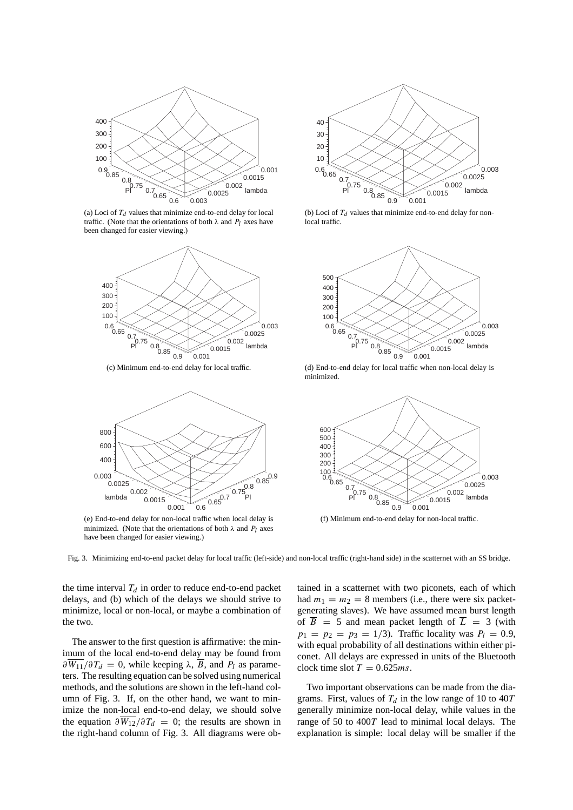

(a) Loci of  $T_d$  values that minimize end-to-end delay for local traffic. (Note that the orientations of both  $\lambda$  and  $P_l$  axes have been changed for easier viewing.)



(c) Minimum end-to-end delay for local traffic.



(e) End-to-end delay for non-local traffic when local delay is minimized. (Note that the orientations of both  $\lambda$  and  $P_l$  axes have been changed for easier viewing.)



(b) Loci of  $T_d$  values that minimize end-to-end delay for nonlocal traffic.



(d) End-to-end delay for local traffic when non-local delay is minimized.



(f) Minimum end-to-end delay for non-local traffic.

Fig. 3. Minimizing end-to-end packet delay for local traffic (left-side) and non-local traffic (right-hand side) in the scatternet with an SS bridge.

the time interval  $T_d$  in order to reduce end-to-end packet delays, and (b) which of the delays we should strive to minimize, local or non-local, or maybe a combination of the two.

The answer to the first question is affirmative: the minimum of the local end-to-end delay may be found from  $\partial W_{11}/\partial T_d = 0$ , while keeping  $\lambda$ , *B*, and *P*<sub>l</sub> as parameters. The resulting equation can be solved using numerical methods, and the solutions are shown in the left-hand column of Fig. 3. If, on the other hand, we want to minimize the non-local end-to-end delay, we should solve the equation  $\partial \overline{W_{12}}/\partial T_d = 0$ ; the results are shown in the right-hand column of Fig. 3. All diagrams were ob-

tained in a scatternet with two piconets, each of which had  $m_1 = m_2 = 8$  members (i.e., there were six packetgenerating slaves). We have assumed mean burst length of  $\overline{B}$  = 5 and mean packet length of  $\overline{L}$  = 3 (with  $p_1 = p_2 = p_3 = 1/3$ . Traffic locality was  $P_l = 0.9$ , with equal probability of all destinations within either piconet. All delays are expressed in units of the Bluetooth clock time slot  $T = 0.625$ *ms*.

Two important observations can be made from the diagrams. First, values of  $T_d$  in the low range of 10 to 40*T* generally minimize non-local delay, while values in the range of 50 to 400*T* lead to minimal local delays. The explanation is simple: local delay will be smaller if the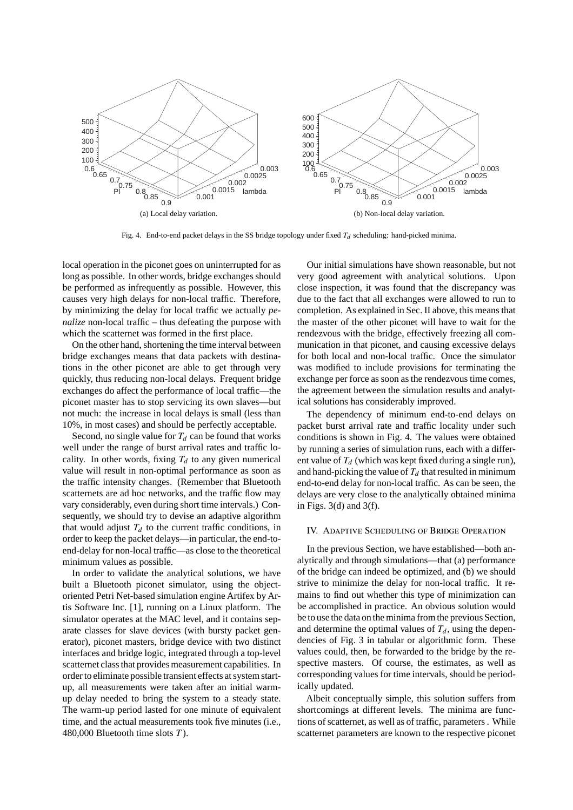

Fig. 4. End-to-end packet delays in the SS bridge topology under fixed  $T_d$  scheduling: hand-picked minima.

local operation in the piconet goes on uninterrupted for as long as possible. In other words, bridge exchanges should be performed as infrequently as possible. However, this causes very high delays for non-local traffic. Therefore, by minimizing the delay for local traffic we actually *penalize* non-local traffic – thus defeating the purpose with which the scatternet was formed in the first place.

On the other hand, shortening the time interval between bridge exchanges means that data packets with destinations in the other piconet are able to get through very quickly, thus reducing non-local delays. Frequent bridge exchanges do affect the performance of local traffic—the piconet master has to stop servicing its own slaves—but not much: the increase in local delays is small (less than 10%, in most cases) and should be perfectly acceptable.

Second, no single value for  $T_d$  can be found that works well under the range of burst arrival rates and traffic locality. In other words, fixing  $T_d$  to any given numerical value will result in non-optimal performance as soon as the traffic intensity changes. (Remember that Bluetooth scatternets are ad hoc networks, and the traffic flow may vary considerably, even during short time intervals.) Consequently, we should try to devise an adaptive algorithm that would adjust  $T_d$  to the current traffic conditions, in order to keep the packet delays—in particular, the end-toend-delay for non-local traffic—as close to the theoretical minimum values as possible.

In order to validate the analytical solutions, we have built a Bluetooth piconet simulator, using the objectoriented Petri Net-based simulation engine Artifex by Artis Software Inc. [1], running on a Linux platform. The simulator operates at the MAC level, and it contains separate classes for slave devices (with bursty packet generator), piconet masters, bridge device with two distinct interfaces and bridge logic, integrated through a top-level scatternet class that provides measurement capabilities. In order to eliminate possible transient effects at system startup, all measurements were taken after an initial warmup delay needed to bring the system to a steady state. The warm-up period lasted for one minute of equivalent time, and the actual measurements took five minutes (i.e., 480,000 Bluetooth time slots *T* ).

Our initial simulations have shown reasonable, but not very good agreement with analytical solutions. Upon close inspection, it was found that the discrepancy was due to the fact that all exchanges were allowed to run to completion. As explained in Sec. II above, this means that the master of the other piconet will have to wait for the rendezvous with the bridge, effectively freezing all communication in that piconet, and causing excessive delays for both local and non-local traffic. Once the simulator was modified to include provisions for terminating the exchange per force as soon as the rendezvous time comes, the agreement between the simulation results and analytical solutions has considerably improved.

The dependency of minimum end-to-end delays on packet burst arrival rate and traffic locality under such conditions is shown in Fig. 4. The values were obtained by running a series of simulation runs, each with a different value of  $T_d$  (which was kept fixed during a single run), and hand-picking the value of  $T_d$  that resulted in minimum end-to-end delay for non-local traffic. As can be seen, the delays are very close to the analytically obtained minima in Figs.  $3(d)$  and  $3(f)$ .

#### IV. Adaptive Scheduling of Bridge Operation

In the previous Section, we have established—both analytically and through simulations—that (a) performance of the bridge can indeed be optimized, and (b) we should strive to minimize the delay for non-local traffic. It remains to find out whether this type of minimization can be accomplished in practice. An obvious solution would be to use the data on the minima from the previous Section, and determine the optimal values of  $T_d$ , using the dependencies of Fig. 3 in tabular or algorithmic form. These values could, then, be forwarded to the bridge by the respective masters. Of course, the estimates, as well as corresponding values for time intervals, should be periodically updated.

Albeit conceptually simple, this solution suffers from shortcomings at different levels. The minima are functions of scatternet, as well as of traffic, parameters . While scatternet parameters are known to the respective piconet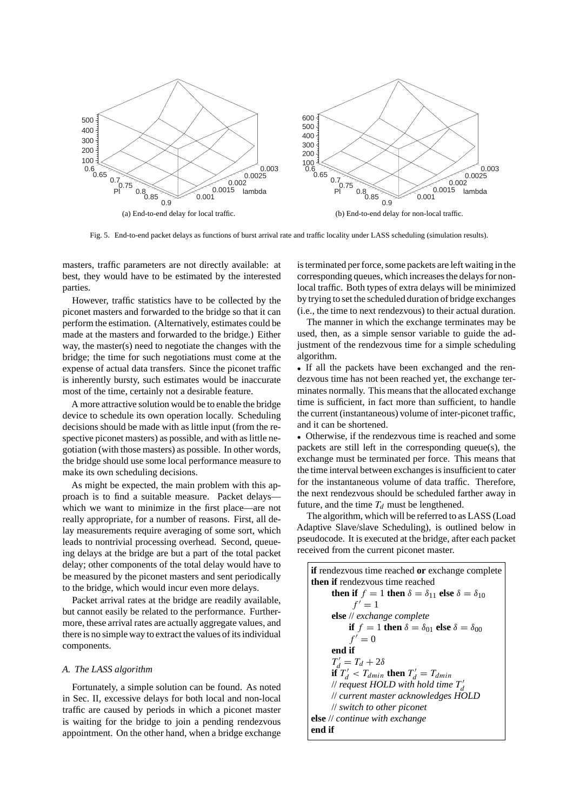

Fig. 5. End-to-end packet delays as functions of burst arrival rate and traffic locality under LASS scheduling (simulation results).

masters, traffic parameters are not directly available: at best, they would have to be estimated by the interested parties.

However, traffic statistics have to be collected by the piconet masters and forwarded to the bridge so that it can perform the estimation. (Alternatively, estimates could be made at the masters and forwarded to the bridge.) Either way, the master(s) need to negotiate the changes with the bridge; the time for such negotiations must come at the expense of actual data transfers. Since the piconet traffic is inherently bursty, such estimates would be inaccurate most of the time, certainly not a desirable feature.

A more attractive solution would be to enable the bridge device to schedule its own operation locally. Scheduling decisions should be made with as little input (from the respective piconet masters) as possible, and with as little negotiation (with those masters) as possible. In other words, the bridge should use some local performance measure to make its own scheduling decisions.

As might be expected, the main problem with this approach is to find a suitable measure. Packet delays which we want to minimize in the first place—are not really appropriate, for a number of reasons. First, all delay measurements require averaging of some sort, which leads to nontrivial processing overhead. Second, queueing delays at the bridge are but a part of the total packet delay; other components of the total delay would have to be measured by the piconet masters and sent periodically to the bridge, which would incur even more delays.

Packet arrival rates at the bridge are readily available, but cannot easily be related to the performance. Furthermore, these arrival rates are actually aggregate values, and there is no simple way to extract the values of its individual components.

#### *A. The LASS algorithm*

Fortunately, a simple solution can be found. As noted in Sec. II, excessive delays for both local and non-local traffic are caused by periods in which a piconet master is waiting for the bridge to join a pending rendezvous appointment. On the other hand, when a bridge exchange is terminated per force, some packets are left waiting in the corresponding queues, which increases the delays for nonlocal traffic. Both types of extra delays will be minimized by trying to set the scheduled duration of bridge exchanges (i.e., the time to next rendezvous) to their actual duration.

The manner in which the exchange terminates may be used, then, as a simple sensor variable to guide the adjustment of the rendezvous time for a simple scheduling algorithm.

• If all the packets have been exchanged and the rendezvous time has not been reached yet, the exchange terminates normally. This means that the allocated exchange time is sufficient, in fact more than sufficient, to handle the current (instantaneous) volume of inter-piconet traffic, and it can be shortened.

• Otherwise, if the rendezvous time is reached and some packets are still left in the corresponding queue(s), the exchange must be terminated per force. This means that the time interval between exchanges is insufficient to cater for the instantaneous volume of data traffic. Therefore, the next rendezvous should be scheduled farther away in future, and the time  $T_d$  must be lengthened.

The algorithm, which will be referred to as LASS (Load Adaptive Slave/slave Scheduling), is outlined below in pseudocode. It is executed at the bridge, after each packet received from the current piconet master.

| <b>if</b> rendezvous time reached <b>or</b> exchange complete           |
|-------------------------------------------------------------------------|
| <b>then if</b> rendezvous time reached                                  |
| then if $f = 1$ then $\delta = \delta_{11}$ else $\delta = \delta_{10}$ |
| $f' = 1$                                                                |
| <b>else</b> // exchange complete                                        |
| if $f = 1$ then $\delta = \delta_{01}$ else $\delta = \delta_{00}$      |
| $f'=0$                                                                  |
| end if                                                                  |
| $T'_d = T_d + 2\delta$                                                  |
| if $T'_d < T_{dmin}$ then $T'_d = T_{dmin}$                             |
| // request HOLD with hold time $T'_d$                                   |
| // current master acknowledges HOLD                                     |
| $\mathcal{U}$ switch to other piconet                                   |
| <b>else</b> $\#$ continue with exchange                                 |
| end if                                                                  |
|                                                                         |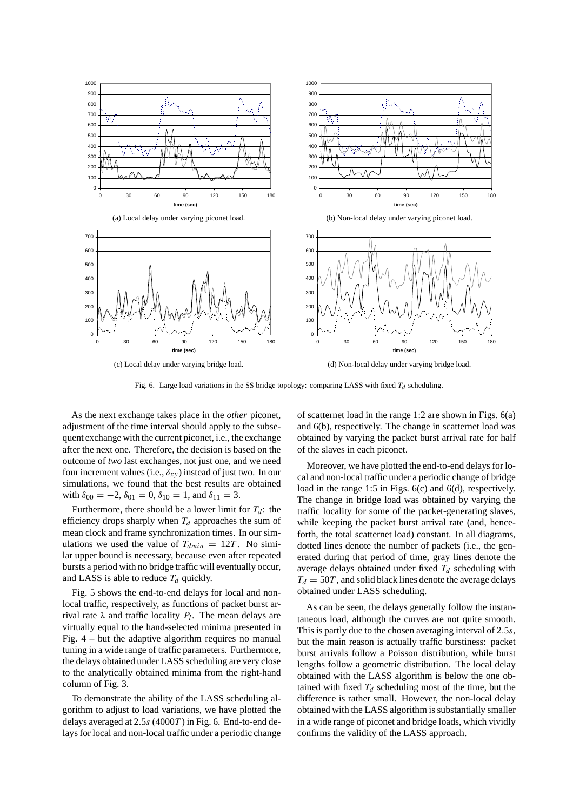

Fig. 6. Large load variations in the SS bridge topology: comparing LASS with fixed *Td* scheduling.

As the next exchange takes place in the *other* piconet, adjustment of the time interval should apply to the subsequent exchange with the current piconet, i.e., the exchange after the next one. Therefore, the decision is based on the outcome of *two* last exchanges, not just one, and we need four increment values (i.e.,  $\delta_{xy}$ ) instead of just two. In our simulations, we found that the best results are obtained with  $\delta_{00} = -2$ ,  $\delta_{01} = 0$ ,  $\delta_{10} = 1$ , and  $\delta_{11} = 3$ .

Furthermore, there should be a lower limit for  $T_d$ : the efficiency drops sharply when  $T_d$  approaches the sum of mean clock and frame synchronization times. In our simulations we used the value of  $T_{dmin} = 12T$ . No similar upper bound is necessary, because even after repeated bursts a period with no bridge traffic will eventually occur, and LASS is able to reduce  $T_d$  quickly.

Fig. 5 shows the end-to-end delays for local and nonlocal traffic, respectively, as functions of packet burst arrival rate  $\lambda$  and traffic locality  $P_l$ . The mean delays are virtually equal to the hand-selected minima presented in Fig. 4 – but the adaptive algorithm requires no manual tuning in a wide range of traffic parameters. Furthermore, the delays obtained under LASS scheduling are very close to the analytically obtained minima from the right-hand column of Fig. 3.

To demonstrate the ability of the LASS scheduling algorithm to adjust to load variations, we have plotted the delays averaged at 2*.*5*s* (4000*T* ) in Fig. 6. End-to-end delays for local and non-local traffic under a periodic change of scatternet load in the range 1:2 are shown in Figs. 6(a) and 6(b), respectively. The change in scatternet load was obtained by varying the packet burst arrival rate for half of the slaves in each piconet.

Moreover, we have plotted the end-to-end delays for local and non-local traffic under a periodic change of bridge load in the range 1:5 in Figs. 6(c) and 6(d), respectively. The change in bridge load was obtained by varying the traffic locality for some of the packet-generating slaves, while keeping the packet burst arrival rate (and, henceforth, the total scatternet load) constant. In all diagrams, dotted lines denote the number of packets (i.e., the generated during that period of time, gray lines denote the average delays obtained under fixed  $T_d$  scheduling with  $T_d = 50T$ , and solid black lines denote the average delays obtained under LASS scheduling.

As can be seen, the delays generally follow the instantaneous load, although the curves are not quite smooth. This is partly due to the chosen averaging interval of 2*.*5*s*, but the main reason is actually traffic burstiness: packet burst arrivals follow a Poisson distribution, while burst lengths follow a geometric distribution. The local delay obtained with the LASS algorithm is below the one obtained with fixed  $T_d$  scheduling most of the time, but the difference is rather small. However, the non-local delay obtained with the LASS algorithm is substantially smaller in a wide range of piconet and bridge loads, which vividly confirms the validity of the LASS approach.